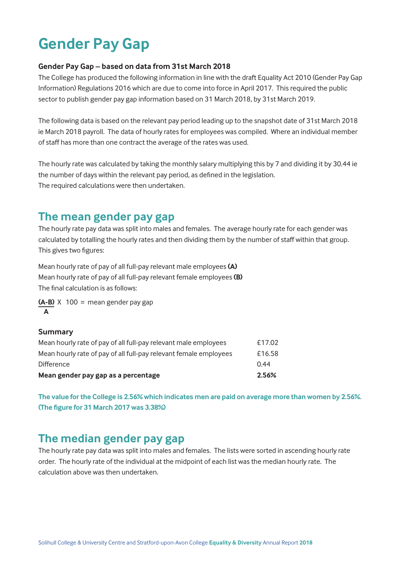# **Gender Pay Gap**

#### **Gender Pay Gap – based on data from 31st March 2018**

The College has produced the following information in line with the draft Equality Act 2010 (Gender Pay Gap Information) Regulations 2016 which are due to come into force in April 2017. This required the public sector to publish gender pay gap information based on 31 March 2018, by 31st March 2019.

The following data is based on the relevant pay period leading up to the snapshot date of 31st March 2018 ie March 2018 payroll. The data of hourly rates for employees was compiled. Where an individual member of staff has more than one contract the average of the rates was used.

The hourly rate was calculated by taking the monthly salary multiplying this by 7 and dividing it by 30.44 ie the number of days within the relevant pay period, as defined in the legislation. The required calculations were then undertaken.

### **The mean gender pay gap**

The hourly rate pay data was split into males and females. The average hourly rate for each gender was calculated by totalling the hourly rates and then dividing them by the number of staff within that group. This gives two figures:

Mean hourly rate of pay of all full-pay relevant male employees **(A)** Mean hourly rate of pay of all full-pay relevant female employees **(B)** The final calculation is as follows:

**(A-B)** X 100 = mean gender pay gap **A**

#### **Summary**

| Mean gender pay gap as a percentage                               | 2.56%  |
|-------------------------------------------------------------------|--------|
| <b>Difference</b>                                                 | 0.44   |
| Mean hourly rate of pay of all full-pay relevant female employees | £16.58 |
| Mean hourly rate of pay of all full-pay relevant male employees   | £17.02 |

**The value for the College is 2.56% which indicates men are paid on average more than women by 2.56%. (The figure for 31 March 2017 was 3.38%)**

### **The median gender pay gap**

The hourly rate pay data was split into males and females. The lists were sorted in ascending hourly rate order. The hourly rate of the individual at the midpoint of each list was the median hourly rate. The calculation above was then undertaken.